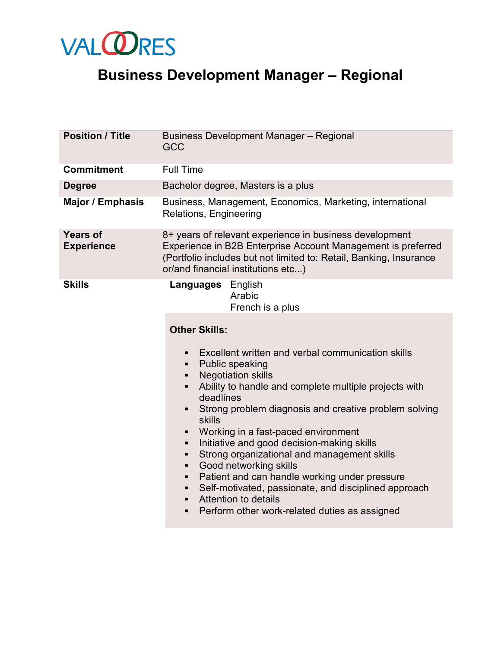

## **Business Development Manager – Regional**

| <b>Position / Title</b>              | <b>Business Development Manager - Regional</b><br><b>GCC</b>                                                                                                                                                                                                                                                                                                                                                                                                                                                                                                                                                                                                                                                                                                      |
|--------------------------------------|-------------------------------------------------------------------------------------------------------------------------------------------------------------------------------------------------------------------------------------------------------------------------------------------------------------------------------------------------------------------------------------------------------------------------------------------------------------------------------------------------------------------------------------------------------------------------------------------------------------------------------------------------------------------------------------------------------------------------------------------------------------------|
| <b>Commitment</b>                    | <b>Full Time</b>                                                                                                                                                                                                                                                                                                                                                                                                                                                                                                                                                                                                                                                                                                                                                  |
| <b>Degree</b>                        | Bachelor degree, Masters is a plus                                                                                                                                                                                                                                                                                                                                                                                                                                                                                                                                                                                                                                                                                                                                |
| <b>Major / Emphasis</b>              | Business, Management, Economics, Marketing, international<br>Relations, Engineering                                                                                                                                                                                                                                                                                                                                                                                                                                                                                                                                                                                                                                                                               |
| <b>Years of</b><br><b>Experience</b> | 8+ years of relevant experience in business development<br>Experience in B2B Enterprise Account Management is preferred<br>(Portfolio includes but not limited to: Retail, Banking, Insurance<br>or/and financial institutions etc)                                                                                                                                                                                                                                                                                                                                                                                                                                                                                                                               |
| <b>Skills</b>                        | <b>Languages</b> English<br>Arabic<br>French is a plus<br><b>Other Skills:</b><br>Excellent written and verbal communication skills<br>٠<br><b>Public speaking</b><br>٠<br><b>Negotiation skills</b><br>٠<br>Ability to handle and complete multiple projects with<br>deadlines<br>Strong problem diagnosis and creative problem solving<br>skills<br>Working in a fast-paced environment<br>Initiative and good decision-making skills<br>Strong organizational and management skills<br>٠<br>Good networking skills<br>٠<br>Patient and can handle working under pressure<br>٠<br>Self-motivated, passionate, and disciplined approach<br>$\blacksquare$<br><b>Attention to details</b><br>$\blacksquare$<br>Perform other work-related duties as assigned<br>٠ |